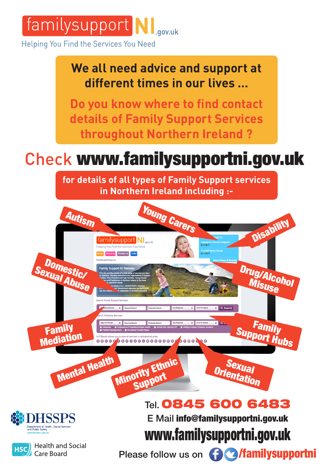

Helping You Find the Services You Need

## **We all need advice and support at different times in our lives …**

**Do you know where to find contact details of Family Support Services throughout Northern Ireland ?**

## Check www.familysupportni.gov.uk

**for details of all types of Family Support services in Northern Ireland including :-**